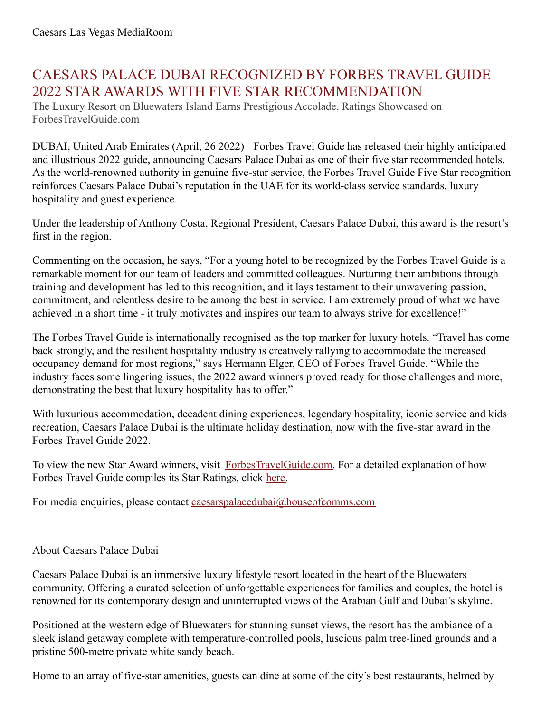## CAESARS PALACE DUBAI RECOGNIZED BY FORBES TRAVEL GUIDE 2022 STAR AWARDS WITH FIVE STAR RECOMMENDATION

The Luxury Resort on Bluewaters Island Earns Prestigious Accolade, Ratings Showcased on ForbesTravelGuide.com

DUBAI, United Arab Emirates (April, 26 2022) –Forbes Travel Guide has released their highly anticipated and illustrious 2022 guide, announcing Caesars Palace Dubai as one of their five star recommended hotels. As the world-renowned authority in genuine five-star service, the Forbes Travel Guide Five Star recognition reinforces Caesars Palace Dubai's reputation in the UAE for its world-class service standards, luxury hospitality and guest experience.

Under the leadership of Anthony Costa, Regional President, Caesars Palace Dubai, this award is the resort's first in the region.

Commenting on the occasion, he says, "For a young hotel to be recognized by the Forbes Travel Guide is a remarkable moment for our team of leaders and committed colleagues. Nurturing their ambitions through training and development has led to this recognition, and it lays testament to their unwavering passion, commitment, and relentless desire to be among the best in service. I am extremely proud of what we have achieved in a short time - it truly motivates and inspires our team to always strive for excellence!"

The Forbes Travel Guide is internationally recognised as the top marker for luxury hotels. "Travel has come back strongly, and the resilient hospitality industry is creatively rallying to accommodate the increased occupancy demand for most regions," says Hermann Elger, CEO of Forbes Travel Guide. "While the industry faces some lingering issues, the 2022 award winners proved ready for those challenges and more, demonstrating the best that luxury hospitality has to offer."

With luxurious accommodation, decadent dining experiences, legendary hospitality, iconic service and kids recreation, Caesars Palace Dubai is the ultimate holiday destination, now with the five-star award in the Forbes Travel Guide 2022.

To view the new Star Award winners, visit [ForbesTravelGuide.com](https://www.forbestravelguide.com/). For a detailed explanation of how Forbes Travel Guide compiles its Star Ratings, click [here](https://www.forbestravelguide.com/about).

For media enquiries, please contact [caesarspalacedubai@houseofcomms.com](mailto:caesarspalacedubai@houseofcomms.com)

## About Caesars Palace Dubai

Caesars Palace Dubai is an immersive luxury lifestyle resort located in the heart of the Bluewaters community. Offering a curated selection of unforgettable experiences for families and couples, the hotel is renowned for its contemporary design and uninterrupted views of the Arabian Gulf and Dubai's skyline.

Positioned at the western edge of Bluewaters for stunning sunset views, the resort has the ambiance of a sleek island getaway complete with temperature-controlled pools, luscious palm tree-lined grounds and a pristine 500-metre private white sandy beach.

Home to an array of five-star amenities, guests can dine at some of the city's best restaurants, helmed by